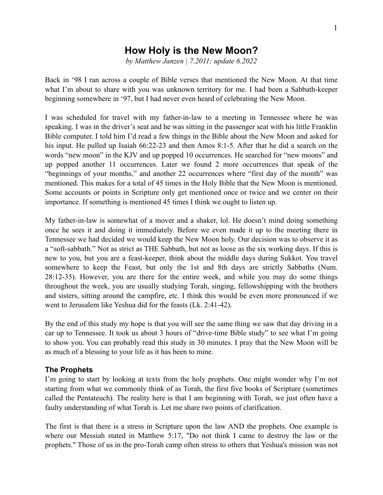# **How Holy is the New Moon?**

*by Matthew Janzen | 7.2011; update 6.2022*

Back in '98 I ran across a couple of Bible verses that mentioned the New Moon. At that time what I'm about to share with you was unknown territory for me. I had been a Sabbath-keeper beginning somewhere in '97, but I had never even heard of celebrating the New Moon.

I was scheduled for travel with my father-in-law to a meeting in Tennessee where he was speaking. I was in the driver's seat and he was sitting in the passenger seat with his little Franklin Bible computer. I told him I'd read a few things in the Bible about the New Moon and asked for his input. He pulled up Isaiah 66:22-23 and then Amos 8:1-5. After that he did a search on the words "new moon" in the KJV and up popped 10 occurrences. He searched for "new moons" and up popped another 11 occurrences. Later we found 2 more occurrences that speak of the "beginnings of your months," and another 22 occurrences where "first day of the month" was mentioned. This makes for a total of 45 times in the Holy Bible that the New Moon is mentioned. Some accounts or points in Scripture only get mentioned once or twice and we center on their importance. If something is mentioned 45 times I think we ought to listen up.

My father-in-law is somewhat of a mover and a shaker, lol. He doesn't mind doing something once he sees it and doing it immediately. Before we even made it up to the meeting there in Tennessee we had decided we would keep the New Moon holy. Our decision was to observe it as a "soft-sabbath." Not as strict as THE Sabbath, but not as loose as the six working days. If this is new to you, but you are a feast-keeper, think about the middle days during Sukkot. You travel somewhere to keep the Feast, but only the 1st and 8th days are strictly Sabbaths (Num. 28:12-35). However, you are there for the entire week, and while you may do some things throughout the week, you are usually studying Torah, singing, fellowshipping with the brothers and sisters, sitting around the campfire, etc. I think this would be even more pronounced if we went to Jerusalem like Yeshua did for the feasts (Lk. 2:41-42).

By the end of this study my hope is that you will see the same thing we saw that day driving in a car up to Tennessee. It took us about 3 hours of "drive-time Bible study" to see what I'm going to show you. You can probably read this study in 30 minutes. I pray that the New Moon will be as much of a blessing to your life as it has been to mine.

# **The Prophets**

I'm going to start by looking at texts from the holy prophets. One might wonder why I'm not starting from what we commonly think of as Torah, the first five books of Scripture (sometimes called the Pentateuch). The reality here is that I am beginning with Torah, we just often have a faulty understanding of what Torah is. Let me share two points of clarification.

The first is that there is a stress in Scripture upon the law AND the prophets. One example is where our Messiah stated in Matthew 5:17, "Do not think I came to destroy the law or the prophets." Those of us in the pro-Torah camp often stress to others that Yeshua's mission was not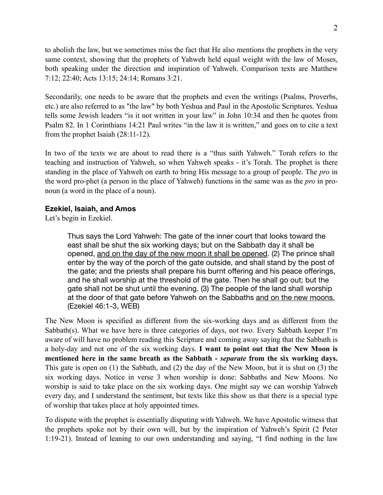to abolish the law, but we sometimes miss the fact that He also mentions the prophets in the very same context, showing that the prophets of Yahweh held equal weight with the law of Moses, both speaking under the direction and inspiration of Yahweh. Comparison texts are Matthew 7:12; 22:40; Acts 13:15; 24:14; Romans 3:21.

Secondarily, one needs to be aware that the prophets and even the writings (Psalms, Proverbs, etc.) are also referred to as "the law" by both Yeshua and Paul in the Apostolic Scriptures. Yeshua tells some Jewish leaders "is it not written in your law" in John 10:34 and then he quotes from Psalm 82. In 1 Corinthians 14:21 Paul writes "in the law it is written," and goes on to cite a text from the prophet Isaiah (28:11-12).

In two of the texts we are about to read there is a "thus saith Yahweh." Torah refers to the teaching and instruction of Yahweh, so when Yahweh speaks - it's Torah. The prophet is there standing in the place of Yahweh on earth to bring His message to a group of people. The *pro* in the word pro-phet (a person in the place of Yahweh) functions in the same was as the *pro* in pronoun (a word in the place of a noun).

## **Ezekiel, Isaiah, and Amos**

Let's begin in Ezekiel.

Thus says the Lord Yahweh: The gate of the inner court that looks toward the east shall be shut the six working days; but on the Sabbath day it shall be opened, and on the day of the new moon it shall be opened. (2) The prince shall enter by the way of the porch of the gate outside, and shall stand by the post of the gate; and the priests shall prepare his burnt offering and his peace offerings, and he shall worship at the threshold of the gate. Then he shall go out; but the gate shall not be shut until the evening. (3) The people of the land shall worship at the door of that gate before Yahweh on the Sabbaths and on the new moons. (Ezekiel 46:1-3, WEB)

The New Moon is specified as different from the six-working days and as different from the Sabbath(s). What we have here is three categories of days, not two. Every Sabbath keeper I'm aware of will have no problem reading this Scripture and coming away saying that the Sabbath is a holy-day and not one of the six working days. **I want to point out that the New Moon is mentioned here in the same breath as the Sabbath -** *separate* **from the six working days.** This gate is open on (1) the Sabbath, and (2) the day of the New Moon, but it is shut on (3) the six working days. Notice in verse 3 when worship is done: Sabbaths and New Moons. No worship is said to take place on the six working days. One might say we can worship Yahweh every day, and I understand the sentiment, but texts like this show us that there is a special type of worship that takes place at holy appointed times.

To dispute with the prophet is essentially disputing with Yahweh. We have Apostolic witness that the prophets spoke not by their own will, but by the inspiration of Yahweh's Spirit (2 Peter 1:19-21). Instead of leaning to our own understanding and saying, "I find nothing in the law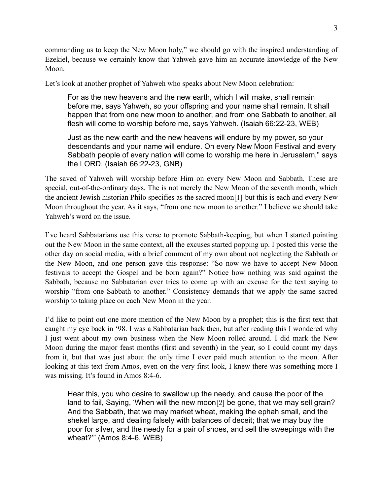commanding us to keep the New Moon holy," we should go with the inspired understanding of Ezekiel, because we certainly know that Yahweh gave him an accurate knowledge of the New Moon.

Let's look at another prophet of Yahweh who speaks about New Moon celebration:

For as the new heavens and the new earth, which I will make, shall remain before me, says Yahweh, so your offspring and your name shall remain. It shall happen that from one new moon to another, and from one Sabbath to another, all flesh will come to worship before me, says Yahweh. (Isaiah 66:22-23, WEB)

Just as the new earth and the new heavens will endure by my power, so your descendants and your name will endure. On every New Moon Festival and every Sabbath people of every nation will come to worship me here in Jerusalem," says the LORD. (Isaiah 66:22-23, GNB)

The saved of Yahweh will worship before Him on every New Moon and Sabbath. These are special, out-of-the-ordinary days. The is not merely the New Moon of the seventh month, which the ancient Jewish historian Philo specifies as the sacred moon[1] but this is each and every New Moon throughout the year. As it says, "from one new moon to another." I believe we should take Yahweh's word on the issue.

I've heard Sabbatarians use this verse to promote Sabbath-keeping, but when I started pointing out the New Moon in the same context, all the excuses started popping up. I posted this verse the other day on social media, with a brief comment of my own about not neglecting the Sabbath or the New Moon, and one person gave this response: "So now we have to accept New Moon festivals to accept the Gospel and be born again?" Notice how nothing was said against the Sabbath, because no Sabbatarian ever tries to come up with an excuse for the text saying to worship "from one Sabbath to another." Consistency demands that we apply the same sacred worship to taking place on each New Moon in the year.

I'd like to point out one more mention of the New Moon by a prophet; this is the first text that caught my eye back in '98. I was a Sabbatarian back then, but after reading this I wondered why I just went about my own business when the New Moon rolled around. I did mark the New Moon during the major feast months (first and seventh) in the year, so I could count my days from it, but that was just about the only time I ever paid much attention to the moon. After looking at this text from Amos, even on the very first look, I knew there was something more I was missing. It's found in Amos 8:4-6.

Hear this, you who desire to swallow up the needy, and cause the poor of the land to fail, Saying, 'When will the new moon<sup>[2]</sup> be gone, that we may sell grain? And the Sabbath, that we may market wheat, making the ephah small, and the shekel large, and dealing falsely with balances of deceit; that we may buy the poor for silver, and the needy for a pair of shoes, and sell the sweepings with the wheat?'" (Amos 8:4-6, WEB)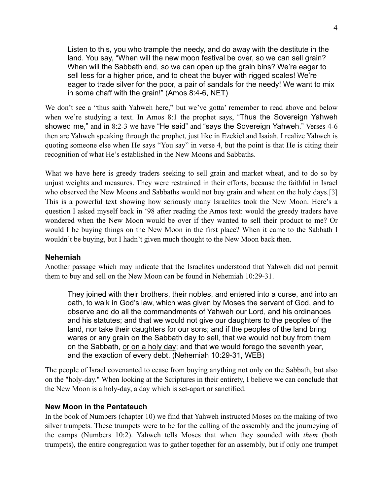Listen to this, you who trample the needy, and do away with the destitute in the land. You say, "When will the new moon festival be over, so we can sell grain? When will the Sabbath end, so we can open up the grain bins? We're eager to sell less for a higher price, and to cheat the buyer with rigged scales! We're eager to trade silver for the poor, a pair of sandals for the needy! We want to mix in some chaff with the grain!" (Amos 8:4-6, NET)

We don't see a "thus saith Yahweh here," but we've gotta' remember to read above and below when we're studying a text. In Amos 8:1 the prophet says, "Thus the Sovereign Yahweh showed me," and in 8:2-3 we have "He said" and "says the Sovereign Yahweh." Verses 4-6 then are Yahweh speaking through the prophet, just like in Ezekiel and Isaiah. I realize Yahweh is quoting someone else when He says "You say" in verse 4, but the point is that He is citing their recognition of what He's established in the New Moons and Sabbaths.

What we have here is greedy traders seeking to sell grain and market wheat, and to do so by unjust weights and measures. They were restrained in their efforts, because the faithful in Israel who observed the New Moons and Sabbaths would not buy grain and wheat on the holy days.[3] This is a powerful text showing how seriously many Israelites took the New Moon. Here's a question I asked myself back in '98 after reading the Amos text: would the greedy traders have wondered when the New Moon would be over if they wanted to sell their product to me? Or would I be buying things on the New Moon in the first place? When it came to the Sabbath I wouldn't be buying, but I hadn't given much thought to the New Moon back then.

## **Nehemiah**

Another passage which may indicate that the Israelites understood that Yahweh did not permit them to buy and sell on the New Moon can be found in Nehemiah 10:29-31.

They joined with their brothers, their nobles, and entered into a curse, and into an oath, to walk in God's law, which was given by Moses the servant of God, and to observe and do all the commandments of Yahweh our Lord, and his ordinances and his statutes; and that we would not give our daughters to the peoples of the land, nor take their daughters for our sons; and if the peoples of the land bring wares or any grain on the Sabbath day to sell, that we would not buy from them on the Sabbath, or on a holy day; and that we would forego the seventh year, and the exaction of every debt. (Nehemiah 10:29-31, WEB)

The people of Israel covenanted to cease from buying anything not only on the Sabbath, but also on the "holy-day." When looking at the Scriptures in their entirety, I believe we can conclude that the New Moon is a holy-day, a day which is set-apart or sanctified.

## **New Moon in the Pentateuch**

In the book of Numbers (chapter 10) we find that Yahweh instructed Moses on the making of two silver trumpets. These trumpets were to be for the calling of the assembly and the journeying of the camps (Numbers 10:2). Yahweh tells Moses that when they sounded with *them* (both trumpets), the entire congregation was to gather together for an assembly, but if only one trumpet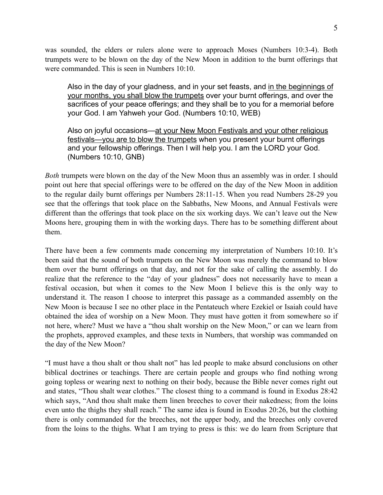was sounded, the elders or rulers alone were to approach Moses (Numbers 10:3-4). Both trumpets were to be blown on the day of the New Moon in addition to the burnt offerings that were commanded. This is seen in Numbers 10:10.

Also in the day of your gladness, and in your set feasts, and in the beginnings of your months, you shall blow the trumpets over your burnt offerings, and over the sacrifices of your peace offerings; and they shall be to you for a memorial before your God. I am Yahweh your God. (Numbers 10:10, WEB)

Also on joyful occasions—at your New Moon Festivals and your other religious festivals—you are to blow the trumpets when you present your burnt offerings and your fellowship offerings. Then I will help you. I am the LORD your God. (Numbers 10:10, GNB)

*Both* trumpets were blown on the day of the New Moon thus an assembly was in order. I should point out here that special offerings were to be offered on the day of the New Moon in addition to the regular daily burnt offerings per Numbers 28:11-15. When you read Numbers 28-29 you see that the offerings that took place on the Sabbaths, New Moons, and Annual Festivals were different than the offerings that took place on the six working days. We can't leave out the New Moons here, grouping them in with the working days. There has to be something different about them.

There have been a few comments made concerning my interpretation of Numbers 10:10. It's been said that the sound of both trumpets on the New Moon was merely the command to blow them over the burnt offerings on that day, and not for the sake of calling the assembly. I do realize that the reference to the "day of your gladness" does not necessarily have to mean a festival occasion, but when it comes to the New Moon I believe this is the only way to understand it. The reason I choose to interpret this passage as a commanded assembly on the New Moon is because I see no other place in the Pentateuch where Ezekiel or Isaiah could have obtained the idea of worship on a New Moon. They must have gotten it from somewhere so if not here, where? Must we have a "thou shalt worship on the New Moon," or can we learn from the prophets, approved examples, and these texts in Numbers, that worship was commanded on the day of the New Moon?

"I must have a thou shalt or thou shalt not" has led people to make absurd conclusions on other biblical doctrines or teachings. There are certain people and groups who find nothing wrong going topless or wearing next to nothing on their body, because the Bible never comes right out and states, "Thou shalt wear clothes." The closest thing to a command is found in Exodus 28:42 which says, "And thou shalt make them linen breeches to cover their nakedness; from the loins even unto the thighs they shall reach." The same idea is found in Exodus 20:26, but the clothing there is only commanded for the breeches, not the upper body, and the breeches only covered from the loins to the thighs. What I am trying to press is this: we do learn from Scripture that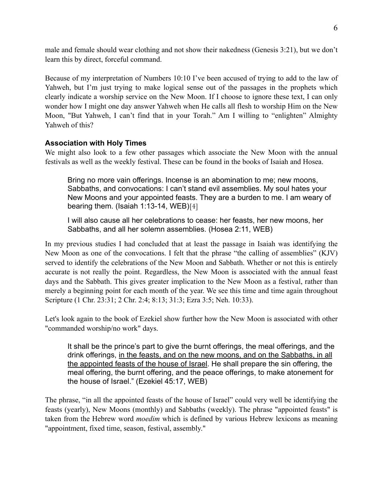male and female should wear clothing and not show their nakedness (Genesis 3:21), but we don't learn this by direct, forceful command.

Because of my interpretation of Numbers 10:10 I've been accused of trying to add to the law of Yahweh, but I'm just trying to make logical sense out of the passages in the prophets which clearly indicate a worship service on the New Moon. If I choose to ignore these text, I can only wonder how I might one day answer Yahweh when He calls all flesh to worship Him on the New Moon, "But Yahweh, I can't find that in your Torah." Am I willing to "enlighten" Almighty Yahweh of this?

# **Association with Holy Times**

We might also look to a few other passages which associate the New Moon with the annual festivals as well as the weekly festival. These can be found in the books of Isaiah and Hosea.

Bring no more vain offerings. Incense is an abomination to me; new moons, Sabbaths, and convocations: I can't stand evil assemblies. My soul hates your New Moons and your appointed feasts. They are a burden to me. I am weary of bearing them. (Isaiah 1:13-14, WEB)[4]

I will also cause all her celebrations to cease: her feasts, her new moons, her Sabbaths, and all her solemn assemblies. (Hosea 2:11, WEB)

In my previous studies I had concluded that at least the passage in Isaiah was identifying the New Moon as one of the convocations. I felt that the phrase "the calling of assemblies" (KJV) served to identify the celebrations of the New Moon and Sabbath. Whether or not this is entirely accurate is not really the point. Regardless, the New Moon is associated with the annual feast days and the Sabbath. This gives greater implication to the New Moon as a festival, rather than merely a beginning point for each month of the year. We see this time and time again throughout Scripture (1 Chr. 23:31; 2 Chr. 2:4; 8:13; 31:3; Ezra 3:5; Neh. 10:33).

Let's look again to the book of Ezekiel show further how the New Moon is associated with other "commanded worship/no work" days.

It shall be the prince's part to give the burnt offerings, the meal offerings, and the drink offerings, in the feasts, and on the new moons, and on the Sabbaths, in all the appointed feasts of the house of Israel. He shall prepare the sin offering, the meal offering, the burnt offering, and the peace offerings, to make atonement for the house of Israel." (Ezekiel 45:17, WEB)

The phrase, "in all the appointed feasts of the house of Israel" could very well be identifying the feasts (yearly), New Moons (monthly) and Sabbaths (weekly). The phrase "appointed feasts" is taken from the Hebrew word *moedim* which is defined by various Hebrew lexicons as meaning "appointment, fixed time, season, festival, assembly."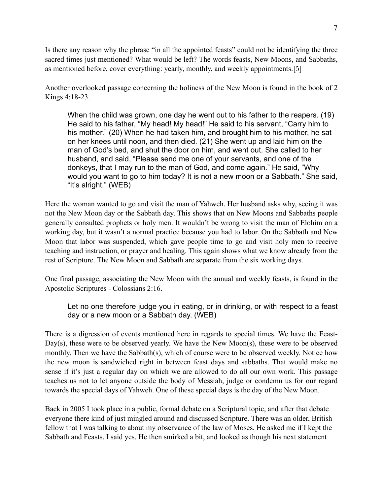Is there any reason why the phrase "in all the appointed feasts" could not be identifying the three sacred times just mentioned? What would be left? The words feasts, New Moons, and Sabbaths, as mentioned before, cover everything: yearly, monthly, and weekly appointments.[5]

Another overlooked passage concerning the holiness of the New Moon is found in the book of 2 Kings 4:18-23.

When the child was grown, one day he went out to his father to the reapers. (19) He said to his father, "My head! My head!" He said to his servant, "Carry him to his mother." (20) When he had taken him, and brought him to his mother, he sat on her knees until noon, and then died. (21) She went up and laid him on the man of God's bed, and shut the door on him, and went out. She called to her husband, and said, "Please send me one of your servants, and one of the donkeys, that I may run to the man of God, and come again." He said, "Why would you want to go to him today? It is not a new moon or a Sabbath." She said, "It's alright." (WEB)

Here the woman wanted to go and visit the man of Yahweh. Her husband asks why, seeing it was not the New Moon day or the Sabbath day. This shows that on New Moons and Sabbaths people generally consulted prophets or holy men. It wouldn't be wrong to visit the man of Elohim on a working day, but it wasn't a normal practice because you had to labor. On the Sabbath and New Moon that labor was suspended, which gave people time to go and visit holy men to receive teaching and instruction, or prayer and healing. This again shows what we know already from the rest of Scripture. The New Moon and Sabbath are separate from the six working days.

One final passage, associating the New Moon with the annual and weekly feasts, is found in the Apostolic Scriptures - Colossians 2:16.

Let no one therefore judge you in eating, or in drinking, or with respect to a feast day or a new moon or a Sabbath day. (WEB)

There is a digression of events mentioned here in regards to special times. We have the Feast-Day(s), these were to be observed yearly. We have the New Moon(s), these were to be observed monthly. Then we have the Sabbath(s), which of course were to be observed weekly. Notice how the new moon is sandwiched right in between feast days and sabbaths. That would make no sense if it's just a regular day on which we are allowed to do all our own work. This passage teaches us not to let anyone outside the body of Messiah, judge or condemn us for our regard towards the special days of Yahweh. One of these special days is the day of the New Moon.

Back in 2005 I took place in a public, formal debate on a Scriptural topic, and after that debate everyone there kind of just mingled around and discussed Scripture. There was an older, British fellow that I was talking to about my observance of the law of Moses. He asked me if I kept the Sabbath and Feasts. I said yes. He then smirked a bit, and looked as though his next statement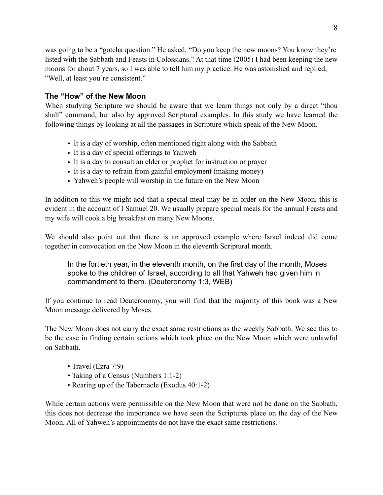was going to be a "gotcha question." He asked, "Do you keep the new moons? You know they're listed with the Sabbath and Feasts in Colossians." At that time (2005) I had been keeping the new moons for about 7 years, so I was able to tell him my practice. He was astonished and replied, "Well, at least you're consistent."

# **The "How" of the New Moon**

When studying Scripture we should be aware that we learn things not only by a direct "thou shalt" command, but also by approved Scriptural examples. In this study we have learned the following things by looking at all the passages in Scripture which speak of the New Moon.

- It is a day of worship, often mentioned right along with the Sabbath
- It is a day of special offerings to Yahweh
- It is a day to consult an elder or prophet for instruction or prayer
- It is a day to refrain from gainful employment (making money)
- Yahweh's people will worship in the future on the New Moon

In addition to this we might add that a special meal may be in order on the New Moon, this is evident in the account of I Samuel 20. We usually prepare special meals for the annual Feasts and my wife will cook a big breakfast on many New Moons.

We should also point out that there is an approved example where Israel indeed did come together in convocation on the New Moon in the eleventh Scriptural month.

In the fortieth year, in the eleventh month, on the first day of the month, Moses spoke to the children of Israel, according to all that Yahweh had given him in commandment to them. (Deuteronomy 1:3, WEB)

If you continue to read Deuteronomy, you will find that the majority of this book was a New Moon message delivered by Moses.

The New Moon does not carry the exact same restrictions as the weekly Sabbath. We see this to be the case in finding certain actions which took place on the New Moon which were unlawful on Sabbath.

- Travel (Ezra 7:9)
- Taking of a Census (Numbers 1:1-2)
- Rearing up of the Tabernacle (Exodus 40:1-2)

While certain actions were permissible on the New Moon that were not be done on the Sabbath, this does not decrease the importance we have seen the Scriptures place on the day of the New Moon. All of Yahweh's appointments do not have the exact same restrictions.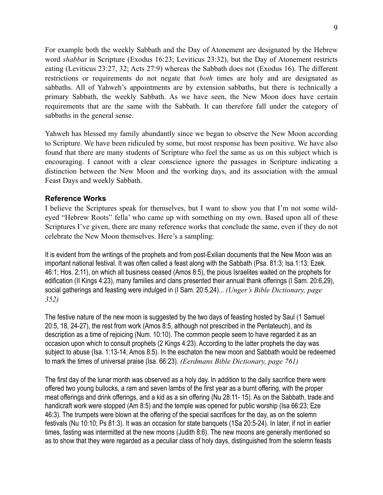For example both the weekly Sabbath and the Day of Atonement are designated by the Hebrew word *shabbat* in Scripture (Exodus 16:23; Leviticus 23:32), but the Day of Atonement restricts eating (Leviticus 23:27, 32; Acts 27:9) whereas the Sabbath does not (Exodus 16). The different restrictions or requirements do not negate that *both* times are holy and are designated as sabbaths. All of Yahweh's appointments are by extension sabbaths, but there is technically a primary Sabbath, the weekly Sabbath. As we have seen, the New Moon does have certain requirements that are the same with the Sabbath. It can therefore fall under the category of sabbaths in the general sense.

Yahweh has blessed my family abundantly since we began to observe the New Moon according to Scripture. We have been ridiculed by some, but most response has been positive. We have also found that there are many students of Scripture who feel the same as us on this subject which is encouraging. I cannot with a clear conscience ignore the passages in Scripture indicating a distinction between the New Moon and the working days, and its association with the annual Feast Days and weekly Sabbath.

#### **Reference Works**

I believe the Scriptures speak for themselves, but I want to show you that I'm not some wildeyed "Hebrew Roots" fella' who came up with something on my own. Based upon all of these Scriptures I've given, there are many reference works that conclude the same, even if they do not celebrate the New Moon themselves. Here's a sampling:

It is evident from the writings of the prophets and from post-Exilian documents that the New Moon was an important national festival. It was often called a feast along with the Sabbath (Psa. 81:3; Isa.1:13; Ezek. 46:1; Hos. 2:11), on which all business ceased (Amos 8:5), the pious Israelites waited on the prophets for edification (II Kings 4:23), many families and clans presented their annual thank offerings (I Sam. 20:6,29), social gatherings and feasting were indulged in (I Sam. 20:5,24)... *(Unger's Bible Dictionary, page 352)*

The festive nature of the new moon is suggested by the two days of feasting hosted by Saul (1 Samuel 20:5, 18, 24-27), the rest from work (Amos 8:5, although not prescribed in the Pentateuch), and its description as a time of rejoicing (Num. 10:10). The common people seem to have regarded it as an occasion upon which to consult prophets (2 Kings 4:23). According to the latter prophets the day was subject to abuse (Isa. 1:13-14; Amos 8:5). In the eschaton the new moon and Sabbath would be redeemed to mark the times of universal praise (Isa. 66:23). *(Eerdmans Bible Dictionary, page 761)*

The first day of the lunar month was observed as a holy day. In addition to the daily sacrifice there were offered two young bullocks, a ram and seven lambs of the first year as a burnt offering, with the proper meat offerings and drink offerings, and a kid as a sin offering (Nu 28:11- 15). As on the Sabbath, trade and handicraft work were stopped (Am 8:5) and the temple was opened for public worship (Isa 66:23; Eze 46:3). The trumpets were blown at the offering of the special sacrifices for the day, as on the solemn festivals (Nu 10:10; Ps 81:3). It was an occasion for state banquets (1Sa 20:5-24). In later, if not in earlier times, fasting was intermitted at the new moons (Judith 8:6). The new moons are generally mentioned so as to show that they were regarded as a peculiar class of holy days, distinguished from the solemn feasts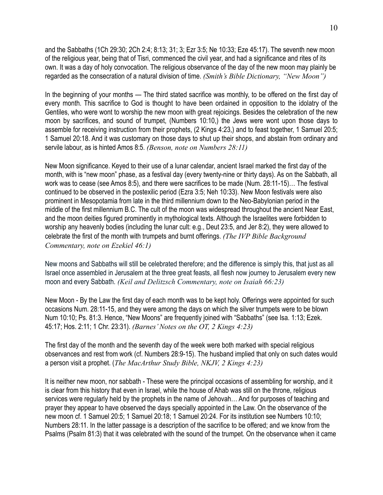and the Sabbaths (1Ch 29:30; 2Ch 2:4; 8:13; 31; 3; Ezr 3:5; Ne 10:33; Eze 45:17). The seventh new moon of the religious year, being that of Tisri, commenced the civil year, and had a significance and rites of its own. It was a day of holy convocation. The religious observance of the day of the new moon may plainly be regarded as the consecration of a natural division of time. *(Smith's Bible Dictionary, "New Moon")*

In the beginning of your months — The third stated sacrifice was monthly, to be offered on the first day of every month. This sacrifice to God is thought to have been ordained in opposition to the idolatry of the Gentiles, who were wont to worship the new moon with great rejoicings. Besides the celebration of the new moon by sacrifices, and sound of trumpet, [\(Numbers 10:10](https://biblehub.com/numbers/10-10.htm),) the Jews were wont upon those days to assemble for receiving instruction from their prophets, [\(2 Kings 4:23,](https://biblehub.com/2_kings/4-23.htm)) and to feast together, [1 Samuel 20:5](https://biblehub.com/1_samuel/20-5.htm); [1 Samuel 20:18](https://biblehub.com/1_samuel/20-18.htm). And it was customary on those days to shut up their shops, and abstain from ordinary and servile labour, as is hinted [Amos 8:5](https://biblehub.com/amos/8-5.htm). *(Benson, note on Numbers 28:11)*

New Moon significance. Keyed to their use of a lunar calendar, ancient Israel marked the first day of the month, with is "new moon" phase, as a festival day (every twenty-nine or thirty days). As on the Sabbath, all work was to cease (see Amos 8:5), and there were sacrifices to be made (Num. 28:11-15)… The festival continued to be observed in the postexilic period (Ezra 3:5; Neh 10:33). New Moon festivals were also prominent in Mesopotamia from late in the third millennium down to the Neo-Babylonian period in the middle of the first millennium B.C. The cult of the moon was widespread throughout the ancient Near East, and the moon deities figured prominently in mythological texts. Although the Israelites were forbidden to worship any heavenly bodies (including the lunar cult: e.g., Deut 23:5, and Jer 8:2), they were allowed to celebrate the first of the month with trumpets and burnt offerings. *(The IVP Bible Background Commentary, note on Ezekiel 46:1)*

New moons and Sabbaths will still be celebrated therefore; and the difference is simply this, that just as all Israel once assembled in Jerusalem at the three great feasts, all flesh now journey to Jerusalem every new moon and every Sabbath. *(Keil and Delitzsch Commentary, note on Isaiah 66:23)*

New Moon - By the Law the first day of each month was to be kept holy. Offerings were appointed for such occasions Num. 28:11-15, and they were among the days on which the silver trumpets were to be blown Num 10:10; Ps. 81:3. Hence, "New Moons" are frequently joined with "Sabbaths" (see Isa. 1:13; Ezek. 45:17; Hos. 2:11; 1 Chr. 23:31). *(Barnes' Notes on the OT, 2 Kings 4:23)*

The first day of the month and the seventh day of the week were both marked with special religious observances and rest from work (cf. Numbers 28:9-15). The husband implied that only on such dates would a person visit a prophet. (*The MacArthur Study Bible, NKJV, 2 Kings 4:23)*

It is neither new moon, nor sabbath - These were the principal occasions of assembling for worship, and it is clear from this history that even in Israel, while the house of Ahab was still on the throne, religious services were regularly held by the prophets in the name of Jehovah… And for purposes of teaching and prayer they appear to have observed the days specially appointed in the Law. On the observance of the new moon cf. [1 Samuel 20:5;](https://biblehub.com/1_samuel/20-5.htm) [1 Samuel 20:18](https://biblehub.com/1_samuel/20-18.htm); [1 Samuel 20:24.](https://biblehub.com/1_samuel/20-24.htm) For its institution see [Numbers 10:10](https://biblehub.com/numbers/10-10.htm); [Numbers 28:11.](https://biblehub.com/numbers/28-11.htm) In the latter passage is a description of the sacrifice to be offered; and we know from the Psalms [\(Psalm 81:3\)](https://biblehub.com/psalms/81-3.htm) that it was celebrated with the sound of the trumpet. On the observance when it came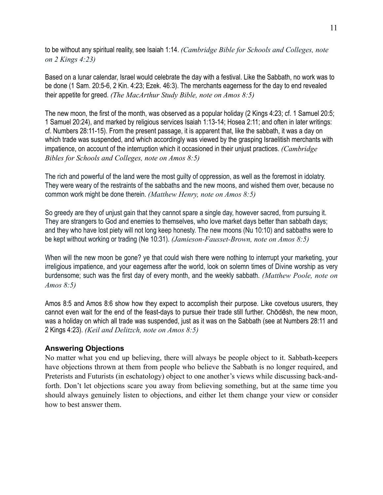to be without any spiritual reality, see [Isaiah 1:14.](https://biblehub.com/isaiah/1-14.htm) *(Cambridge Bible for Schools and Colleges, note on 2 Kings 4:23)*

Based on a lunar calendar, Israel would celebrate the day with a festival. Like the Sabbath, no work was to be done (1 Sam. 20:5-6, 2 Kin. 4:23; Ezek. 46:3). The merchants eagerness for the day to end revealed their appetite for greed. *(The MacArthur Study Bible, note on Amos 8:5)*

The new moon, the first of the month, was observed as a popular holiday [\(2 Kings 4:23](https://biblehub.com/2_kings/4-23.htm); cf. [1 Samuel 20:5](https://biblehub.com/1_samuel/20-5.htm); [1 Samuel 20:24\)](https://biblehub.com/1_samuel/20-24.htm), and marked by religious services [Isaiah 1:13-14](https://biblehub.com/context/isaiah/1-13.htm); [Hosea 2:11](https://biblehub.com/hosea/2-11.htm); and often in later writings: cf. [Numbers 28:11-15\)](https://biblehub.com/context/numbers/28-11.htm). From the present passage, it is apparent that, like the sabbath, it was a day on which trade was suspended, and which accordingly was viewed by the grasping Israelitish merchants with impatience, on account of the interruption which it occasioned in their unjust practices. *(Cambridge Bibles for Schools and Colleges, note on Amos 8:5)*

The rich and powerful of the land were the most guilty of oppression, as well as the foremost in idolatry. They were weary of the restraints of the sabbaths and the new moons, and wished them over, because no common work might be done therein. *(Matthew Henry, note on Amos 8:5)*

So greedy are they of unjust gain that they cannot spare a single day, however sacred, from pursuing it. They are strangers to God and enemies to themselves, who love market days better than sabbath days; and they who have lost piety will not long keep honesty. The new moons (Nu 10:10) and sabbaths were to be kept without working or trading (Ne 10:31). *(Jamieson-Fausset-Brown, note on Amos 8:5)*

When will the new moon be gone? ye that could wish there were nothing to interrupt your marketing, your irreligious impatience, and your eagerness after the world, look on solemn times of Divine worship as very burdensome; such was the first day of every month, and the weekly sabbath. *(Matthew Poole, note on Amos 8:5)*

Amos 8:5 and [Amos 8:6](https://biblehub.com/amos/8-6.htm) show how they expect to accomplish their purpose. Like covetous usurers, they cannot even wait for the end of the feast-days to pursue their trade still further. Chōdēsh, the new moon, was a holiday on which all trade was suspended, just as it was on the Sabbath (see at [Numbers 28:11](https://biblehub.com/numbers/28-11.htm) and [2 Kings 4:23\)](https://biblehub.com/2_kings/4-23.htm). *(Keil and Delitzch, note on Amos 8:5)*

# **Answering Objections**

No matter what you end up believing, there will always be people object to it. Sabbath-keepers have objections thrown at them from people who believe the Sabbath is no longer required, and Preterists and Futurists (in eschatology) object to one another's views while discussing back-andforth. Don't let objections scare you away from believing something, but at the same time you should always genuinely listen to objections, and either let them change your view or consider how to best answer them.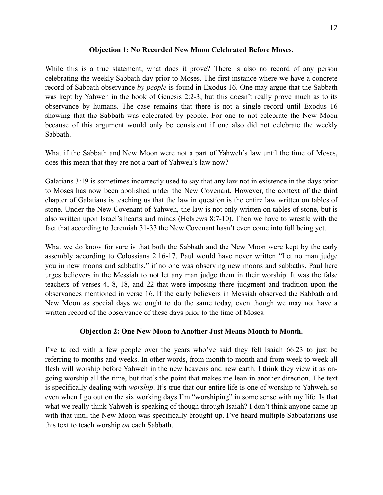## **Objection 1: No Recorded New Moon Celebrated Before Moses.**

While this is a true statement, what does it prove? There is also no record of any person celebrating the weekly Sabbath day prior to Moses. The first instance where we have a concrete record of Sabbath observance *by people* is found in Exodus 16. One may argue that the Sabbath was kept by Yahweh in the book of Genesis 2:2-3, but this doesn't really prove much as to its observance by humans. The case remains that there is not a single record until Exodus 16 showing that the Sabbath was celebrated by people. For one to not celebrate the New Moon because of this argument would only be consistent if one also did not celebrate the weekly Sabbath.

What if the Sabbath and New Moon were not a part of Yahweh's law until the time of Moses, does this mean that they are not a part of Yahweh's law now?

Galatians 3:19 is sometimes incorrectly used to say that any law not in existence in the days prior to Moses has now been abolished under the New Covenant. However, the context of the third chapter of Galatians is teaching us that the law in question is the entire law written on tables of stone. Under the New Covenant of Yahweh, the law is not only written on tables of stone, but is also written upon Israel's hearts and minds (Hebrews 8:7-10). Then we have to wrestle with the fact that according to Jeremiah 31-33 the New Covenant hasn't even come into full being yet.

What we do know for sure is that both the Sabbath and the New Moon were kept by the early assembly according to Colossians 2:16-17. Paul would have never written "Let no man judge you in new moons and sabbaths," if no one was observing new moons and sabbaths. Paul here urges believers in the Messiah to not let any man judge them in their worship. It was the false teachers of verses 4, 8, 18, and 22 that were imposing there judgment and tradition upon the observances mentioned in verse 16. If the early believers in Messiah observed the Sabbath and New Moon as special days we ought to do the same today, even though we may not have a written record of the observance of these days prior to the time of Moses.

#### **Objection 2: One New Moon to Another Just Means Month to Month.**

I've talked with a few people over the years who've said they felt Isaiah 66:23 to just be referring to months and weeks. In other words, from month to month and from week to week all flesh will worship before Yahweh in the new heavens and new earth. I think they view it as ongoing worship all the time, but that's the point that makes me lean in another direction. The text is specifically dealing with *worship*. It's true that our entire life is one of worship to Yahweh, so even when I go out on the six working days I'm "worshiping" in some sense with my life. Is that what we really think Yahweh is speaking of though through Isaiah? I don't think anyone came up with that until the New Moon was specifically brought up. I've heard multiple Sabbatarians use this text to teach worship *on* each Sabbath.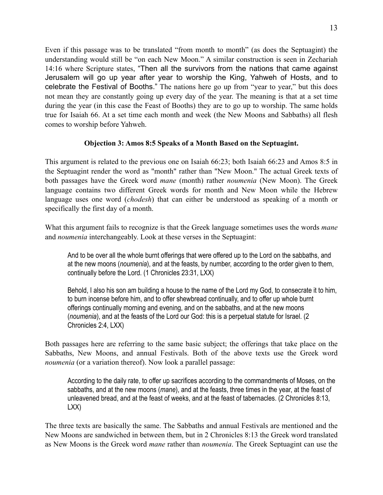Even if this passage was to be translated "from month to month" (as does the Septuagint) the understanding would still be "on each New Moon." A similar construction is seen in Zechariah 14:16 where Scripture states, "Then all the survivors from the nations that came against Jerusalem will go up year after year to worship the King, Yahweh of Hosts, and to celebrate the Festival of Booths." The nations here go up from "year to year," but this does not mean they are constantly going up every day of the year. The meaning is that at a set time during the year (in this case the Feast of Booths) they are to go up to worship. The same holds true for Isaiah 66. At a set time each month and week (the New Moons and Sabbaths) all flesh comes to worship before Yahweh.

## **Objection 3: Amos 8:5 Speaks of a Month Based on the Septuagint.**

This argument is related to the previous one on Isaiah 66:23; both Isaiah 66:23 and Amos 8:5 in the Septuagint render the word as "month" rather than "New Moon." The actual Greek texts of both passages have the Greek word *mane* (month) rather *noumenia* (New Moon). The Greek language contains two different Greek words for month and New Moon while the Hebrew language uses one word (*chodesh*) that can either be understood as speaking of a month or specifically the first day of a month.

What this argument fails to recognize is that the Greek language sometimes uses the words *mane* and *noumenia* interchangeably. Look at these verses in the Septuagint:

And to be over all the whole burnt offerings that were offered up to the Lord on the sabbaths, and at the new moons (*noumenia*), and at the feasts, by number, according to the order given to them, continually before the Lord. (1 Chronicles 23:31, LXX)

Behold, I also his son am building a house to the name of the Lord my God, to consecrate it to him, to burn incense before him, and to offer shewbread continually, and to offer up whole burnt offerings continually morning and evening, and on the sabbaths, and at the new moons (*noumenia*), and at the feasts of the Lord our God: this is a perpetual statute for Israel. (2 Chronicles 2:4, LXX)

Both passages here are referring to the same basic subject; the offerings that take place on the Sabbaths, New Moons, and annual Festivals. Both of the above texts use the Greek word *noumenia* (or a variation thereof). Now look a parallel passage:

According to the daily rate, to offer up sacrifices according to the commandments of Moses, on the sabbaths, and at the new moons (*mane*), and at the feasts, three times in the year, at the feast of unleavened bread, and at the feast of weeks, and at the feast of tabernacles. (2 Chronicles 8:13, LXX)

The three texts are basically the same. The Sabbaths and annual Festivals are mentioned and the New Moons are sandwiched in between them, but in 2 Chronicles 8:13 the Greek word translated as New Moons is the Greek word *mane* rather than *noumenia*. The Greek Septuagint can use the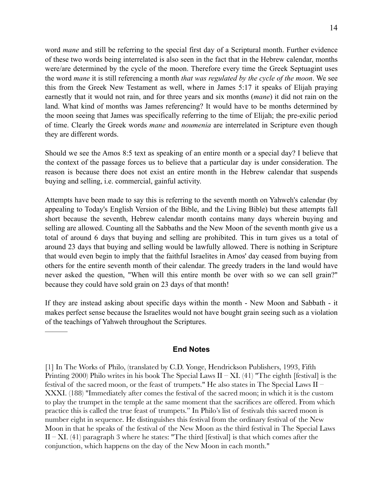word *mane* and still be referring to the special first day of a Scriptural month. Further evidence of these two words being interrelated is also seen in the fact that in the Hebrew calendar, months were/are determined by the cycle of the moon. Therefore every time the Greek Septuagint uses the word *mane* it is still referencing a month *that was regulated by the cycle of the moon*. We see this from the Greek New Testament as well, where in James 5:17 it speaks of Elijah praying earnestly that it would not rain, and for three years and six months (*mane*) it did not rain on the land. What kind of months was James referencing? It would have to be months determined by the moon seeing that James was specifically referring to the time of Elijah; the pre-exilic period of time. Clearly the Greek words *mane* and *noumenia* are interrelated in Scripture even though they are different words.

Should we see the Amos 8:5 text as speaking of an entire month or a special day? I believe that the context of the passage forces us to believe that a particular day is under consideration. The reason is because there does not exist an entire month in the Hebrew calendar that suspends buying and selling, i.e. commercial, gainful activity.

Attempts have been made to say this is referring to the seventh month on Yahweh's calendar (by appealing to Today's English Version of the Bible, and the Living Bible) but these attempts fall short because the seventh, Hebrew calendar month contains many days wherein buying and selling are allowed. Counting all the Sabbaths and the New Moon of the seventh month give us a total of around 6 days that buying and selling are prohibited. This in turn gives us a total of around 23 days that buying and selling would be lawfully allowed. There is nothing in Scripture that would even begin to imply that the faithful Israelites in Amos' day ceased from buying from others for the entire seventh month of their calendar. The greedy traders in the land would have never asked the question, "When will this entire month be over with so we can sell grain?" because they could have sold grain on 23 days of that month!

If they are instead asking about specific days within the month - New Moon and Sabbath - it makes perfect sense because the Israelites would not have bought grain seeing such as a violation of the teachings of Yahweh throughout the Scriptures.

#### **End Notes**

———

[1] In The Works of Philo, (translated by C.D. Yonge, Hendrickson Publishers, 1993, Fifth Printing 2000) Philo writes in his book The Special Laws II – XI. (41) "The eighth [festival] is the festival of the sacred moon, or the feast of trumpets." He also states in The Special Laws II – XXXI. (188) "Immediately after comes the festival of the sacred moon; in which it is the custom to play the trumpet in the temple at the same moment that the sacrifices are offered. From which practice this is called the true feast of trumpets." In Philo's list of festivals this sacred moon is number eight in sequence. He distinguishes this festival from the ordinary festival of the New Moon in that he speaks of the festival of the New Moon as the third festival in The Special Laws  $II - XI$ . (41) paragraph 3 where he states: "The third [festival] is that which comes after the conjunction, which happens on the day of the New Moon in each month."